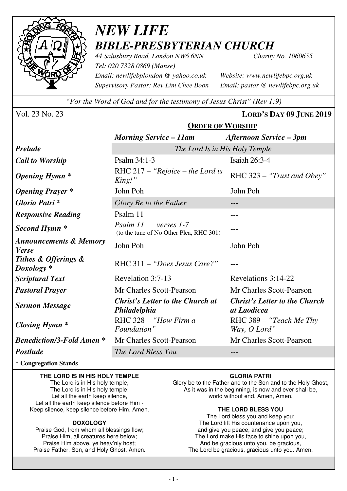

# *NEW LIFE BIBLE-PRESBYTERIAN CHURCH*

*44 Salusbury Road, London NW6 6NN Charity No. 1060655 Tel: 020 7328 0869 (Manse) Email: newlifebplondon @ yahoo.co.uk Website: www.newlifebpc.org.uk Supervisory Pastor: Rev Lim Chee Boon Email: pastor @ newlifebpc.org.uk* 

*"For the Word of God and for the testimony of Jesus Christ" (Rev 1:9)*

**ORDER OF WORSHIP**

Vol. 23 No. 23 **LORD'S DAY 09 JUNE 2019**

|                                                   | ONDER OF THORSHIP                                                 |                                                     |  |  |  |
|---------------------------------------------------|-------------------------------------------------------------------|-----------------------------------------------------|--|--|--|
|                                                   | <b>Morning Service – 11am</b>                                     | <b>Afternoon Service – 3pm</b>                      |  |  |  |
| <b>Prelude</b>                                    | The Lord Is in His Holy Temple                                    |                                                     |  |  |  |
| <b>Call to Worship</b>                            | Psalm 34:1-3                                                      | Isaiah 26:3-4                                       |  |  |  |
| <b>Opening Hymn</b> *                             | RHC 217 - "Rejoice - the Lord is<br>King!"                        | RHC 323 - "Trust and Obey"                          |  |  |  |
| <b>Opening Prayer</b> *                           | John Poh                                                          | John Poh                                            |  |  |  |
| Gloria Patri*                                     | Glory Be to the Father                                            |                                                     |  |  |  |
| <b>Responsive Reading</b>                         | Psalm 11                                                          |                                                     |  |  |  |
| Second Hymn <sup>*</sup>                          | Psalm 11<br>verses 1-7<br>(to the tune of No Other Plea, RHC 301) |                                                     |  |  |  |
| <b>Announcements &amp; Memory</b><br><b>Verse</b> | John Poh                                                          | John Poh                                            |  |  |  |
| Tithes & Offerings &<br>$Doxology *$              | RHC 311 – "Does Jesus Care?"                                      |                                                     |  |  |  |
| <b>Scriptural Text</b>                            | Revelation 3:7-13                                                 | Revelations 3:14-22                                 |  |  |  |
| <b>Pastoral Prayer</b>                            | Mr Charles Scott-Pearson                                          | Mr Charles Scott-Pearson                            |  |  |  |
| <b>Sermon Message</b>                             | <b>Christ's Letter to the Church at</b><br>Philadelphia           | <b>Christ's Letter to the Church</b><br>at Laodicea |  |  |  |
| Closing Hymn $*$                                  | RHC 328 - "How Firm a<br>Foundation"                              | RHC 389 - "Teach Me Thy<br>Way, O Lord"             |  |  |  |
| <b>Benediction/3-Fold Amen *</b>                  | Mr Charles Scott-Pearson                                          | Mr Charles Scott-Pearson                            |  |  |  |
| <b>Postlude</b>                                   | The Lord Bless You                                                |                                                     |  |  |  |

\* **Congregation Stands** 

#### **THE LORD IS IN HIS HOLY TEMPLE**

The Lord is in His holy temple, The Lord is in His holy temple: Let all the earth keep silence, Let all the earth keep silence before Him - Keep silence, keep silence before Him. Amen.

#### **DOXOLOGY**

Praise God, from whom all blessings flow; Praise Him, all creatures here below; Praise Him above, ye heav'nly host; Praise Father, Son, and Holy Ghost. Amen.

#### **GLORIA PATRI**

Glory be to the Father and to the Son and to the Holy Ghost, As it was in the beginning, is now and ever shall be, world without end. Amen, Amen.

#### **THE LORD BLESS YOU**

The Lord bless you and keep you; The Lord lift His countenance upon you, and give you peace, and give you peace; The Lord make His face to shine upon you, And be gracious unto you, be gracious, The Lord be gracious, gracious unto you. Amen.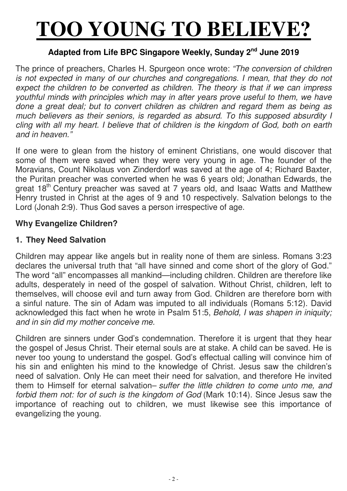# **TOO YOUNG TO BELIEVE?**

## **Adapted from Life BPC Singapore Weekly, Sunday 2nd June 2019**

The prince of preachers, Charles H. Spurgeon once wrote: *"The conversion of children is not expected in many of our churches and congregations. I mean, that they do not expect the children to be converted as children. The theory is that if we can impress youthful minds with principles which may in after years prove useful to them, we have done a great deal; but to convert children as children and regard them as being as much believers as their seniors, is regarded as absurd. To this supposed absurdity I cling with all my heart. I believe that of children is the kingdom of God, both on earth and in heaven."*

If one were to glean from the history of eminent Christians, one would discover that some of them were saved when they were very young in age. The founder of the Moravians, Count Nikolaus von Zinderdorf was saved at the age of 4; Richard Baxter, the Puritan preacher was converted when he was 6 years old; Jonathan Edwards, the great 18<sup>th</sup> Century preacher was saved at 7 years old, and Isaac Watts and Matthew Henry trusted in Christ at the ages of 9 and 10 respectively. Salvation belongs to the Lord (Jonah 2:9). Thus God saves a person irrespective of age.

#### **Why Evangelize Children?**

#### **1. They Need Salvation**

Children may appear like angels but in reality none of them are sinless. Romans 3:23 declares the universal truth that "all have sinned and come short of the glory of God." The word "all" encompasses all mankind—including children. Children are therefore like adults, desperately in need of the gospel of salvation. Without Christ, children, left to themselves, will choose evil and turn away from God. Children are therefore born with a sinful nature. The sin of Adam was imputed to all individuals (Romans 5:12). David acknowledged this fact when he wrote in Psalm 51:5, *Behold, I was shapen in iniquity; and in sin did my mother conceive me.*

Children are sinners under God's condemnation. Therefore it is urgent that they hear the gospel of Jesus Christ. Their eternal souls are at stake. A child can be saved. He is never too young to understand the gospel. God's effectual calling will convince him of his sin and enlighten his mind to the knowledge of Christ. Jesus saw the children's need of salvation. Only He can meet their need for salvation, and therefore He invited them to Himself for eternal salvation– *suffer the little children to come unto me, and forbid them not: for of such is the kingdom of God* (Mark 10:14). Since Jesus saw the importance of reaching out to children, we must likewise see this importance of evangelizing the young.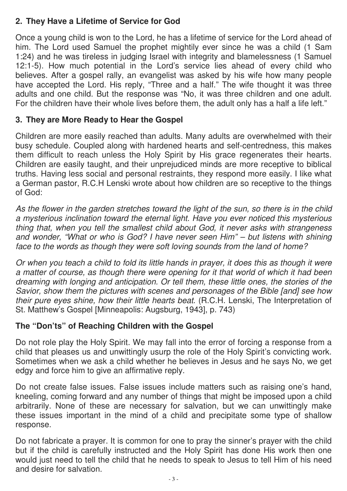# **2. They Have a Lifetime of Service for God**

Once a young child is won to the Lord, he has a lifetime of service for the Lord ahead of him. The Lord used Samuel the prophet mightily ever since he was a child (1 Sam 1:24) and he was tireless in judging Israel with integrity and blamelessness (1 Samuel 12:1-5). How much potential in the Lord's service lies ahead of every child who believes. After a gospel rally, an evangelist was asked by his wife how many people have accepted the Lord. His reply, "Three and a half." The wife thought it was three adults and one child. But the response was "No, it was three children and one adult. For the children have their whole lives before them, the adult only has a half a life left."

## **3. They are More Ready to Hear the Gospel**

Children are more easily reached than adults. Many adults are overwhelmed with their busy schedule. Coupled along with hardened hearts and self-centredness, this makes them difficult to reach unless the Holy Spirit by His grace regenerates their hearts. Children are easily taught, and their unprejudiced minds are more receptive to biblical truths. Having less social and personal restraints, they respond more easily. I like what a German pastor, R.C.H Lenski wrote about how children are so receptive to the things of God:

*As the flower in the garden stretches toward the light of the sun, so there is in the child a mysterious inclination toward the eternal light. Have you ever noticed this mysterious thing that, when you tell the smallest child about God, it never asks with strangeness and wonder, "What or who is God? I have never seen Him" – but listens with shining face to the words as though they were soft loving sounds from the land of home?*

*Or when you teach a child to fold its little hands in prayer, it does this as though it were a matter of course, as though there were opening for it that world of which it had been dreaming with longing and anticipation. Or tell them, these little ones, the stories of the Savior, show them the pictures with scenes and personages of the Bible [and] see how their pure eyes shine, how their little hearts beat*. (R.C.H. Lenski, The Interpretation of St. Matthew's Gospel [Minneapolis: Augsburg, 1943], p. 743)

### **The "Don'ts" of Reaching Children with the Gospel**

Do not role play the Holy Spirit. We may fall into the error of forcing a response from a child that pleases us and unwittingly usurp the role of the Holy Spirit's convicting work. Sometimes when we ask a child whether he believes in Jesus and he says No, we get edgy and force him to give an affirmative reply.

Do not create false issues. False issues include matters such as raising one's hand, kneeling, coming forward and any number of things that might be imposed upon a child arbitrarily. None of these are necessary for salvation, but we can unwittingly make these issues important in the mind of a child and precipitate some type of shallow response.

Do not fabricate a prayer. It is common for one to pray the sinner's prayer with the child but if the child is carefully instructed and the Holy Spirit has done His work then one would just need to tell the child that he needs to speak to Jesus to tell Him of his need and desire for salvation.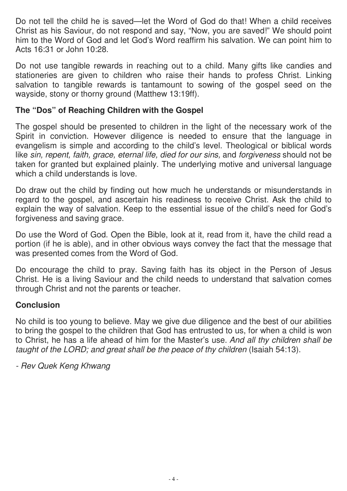Do not tell the child he is saved—let the Word of God do that! When a child receives Christ as his Saviour, do not respond and say, "Now, you are saved!" We should point him to the Word of God and let God's Word reaffirm his salvation. We can point him to Acts 16:31 or John 10:28.

Do not use tangible rewards in reaching out to a child. Many gifts like candies and stationeries are given to children who raise their hands to profess Christ. Linking salvation to tangible rewards is tantamount to sowing of the gospel seed on the wayside, stony or thorny ground (Matthew 13:19ff).

#### **The "Dos" of Reaching Children with the Gospel**

The gospel should be presented to children in the light of the necessary work of the Spirit in conviction. However diligence is needed to ensure that the language in evangelism is simple and according to the child's level. Theological or biblical words like *sin, repent, faith, grace, eternal life, died for our sins, and forgiveness should not be* taken for granted but explained plainly. The underlying motive and universal language which a child understands is love.

Do draw out the child by finding out how much he understands or misunderstands in regard to the gospel, and ascertain his readiness to receive Christ. Ask the child to explain the way of salvation. Keep to the essential issue of the child's need for God's forgiveness and saving grace.

Do use the Word of God. Open the Bible, look at it, read from it, have the child read a portion (if he is able), and in other obvious ways convey the fact that the message that was presented comes from the Word of God.

Do encourage the child to pray. Saving faith has its object in the Person of Jesus Christ. He is a living Saviour and the child needs to understand that salvation comes through Christ and not the parents or teacher.

### **Conclusion**

No child is too young to believe. May we give due diligence and the best of our abilities to bring the gospel to the children that God has entrusted to us, for when a child is won to Christ, he has a life ahead of him for the Master's use. *And all thy children shall be taught of the LORD; and great shall be the peace of thy children* (Isaiah 54:13).

*- Rev Quek Keng Khwang*